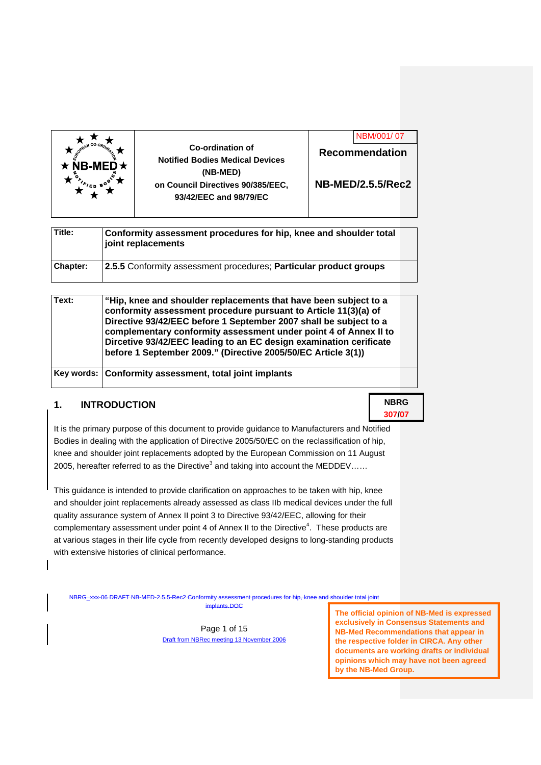



**NB-MED/2.5.5/Rec2** 

| Title:          | Conformity assessment procedures for hip, knee and shoulder total<br>joint replacements |  |
|-----------------|-----------------------------------------------------------------------------------------|--|
| <b>Chapter:</b> | 2.5.5 Conformity assessment procedures; Particular product groups                       |  |

| Text: | "Hip, knee and shoulder replacements that have been subject to a<br>conformity assessment procedure pursuant to Article 11(3)(a) of<br>Directive 93/42/EEC before 1 September 2007 shall be subject to a<br>complementary conformity assessment under point 4 of Annex II to<br>Dircetive 93/42/EEC leading to an EC design examination cerificate<br>before 1 September 2009." (Directive 2005/50/EC Article 3(1)) |  |
|-------|---------------------------------------------------------------------------------------------------------------------------------------------------------------------------------------------------------------------------------------------------------------------------------------------------------------------------------------------------------------------------------------------------------------------|--|
|       | Key words: Conformity assessment, total joint implants                                                                                                                                                                                                                                                                                                                                                              |  |

### **1. INTRODUCTION**

It is the primary purpose of this document to provide guidance to Manufacturers and Notified Bodies in dealing with the application of Directive 2005/50/EC on the reclassification of hip, knee and shoulder joint replacements adopted by the European Commission on 11 August 2005, hereafter referred to as the Directive<sup>3</sup> and taking into account the MEDDEV......

This guidance is intended to provide clarification on approaches to be taken with hip, knee and shoulder joint replacements already assessed as class IIb medical devices under the full quality assurance system of Annex II point 3 to Directive 93/42/EEC, allowing for their complementary assessment under point 4 of Annex II to the Directive<sup>4</sup>. These products are at various stages in their life cycle from recently developed designs to long-standing products with extensive histories of clinical performance.

NBRG\_xxx-06 DRAFT NB-MED-2.5.5-Rec2 Conformity assessment procedures for hip, knee and shoulder total joint

inte.DOC

Page 1 of 15 Draft from NBRec meeting 13 November 2006

**The official opinion of NB-Med is expressed exclusively in Consensus Statements and NB-Med Recommendations that appear in the respective folder in CIRCA. Any other documents are working drafts or individual opinions which may have not been agreed by the NB-Med Group.** 

**NBRG 307/07**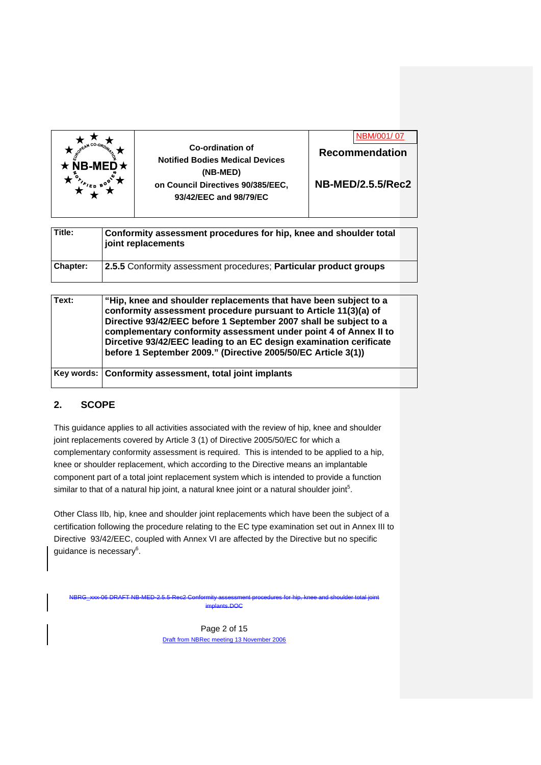

| Title:   | Conformity assessment procedures for hip, knee and shoulder total<br>joint replacements |  |
|----------|-----------------------------------------------------------------------------------------|--|
| Chapter: | 2.5.5 Conformity assessment procedures; Particular product groups                       |  |

| Text: | "Hip, knee and shoulder replacements that have been subject to a<br>conformity assessment procedure pursuant to Article 11(3)(a) of<br>Directive 93/42/EEC before 1 September 2007 shall be subject to a<br>complementary conformity assessment under point 4 of Annex II to<br>Dircetive 93/42/EEC leading to an EC design examination cerificate<br>before 1 September 2009." (Directive 2005/50/EC Article 3(1)) |  |
|-------|---------------------------------------------------------------------------------------------------------------------------------------------------------------------------------------------------------------------------------------------------------------------------------------------------------------------------------------------------------------------------------------------------------------------|--|
|       | Key words: Conformity assessment, total joint implants                                                                                                                                                                                                                                                                                                                                                              |  |

## **2. SCOPE**

This guidance applies to all activities associated with the review of hip, knee and shoulder joint replacements covered by Article 3 (1) of Directive 2005/50/EC for which a complementary conformity assessment is required. This is intended to be applied to a hip, knee or shoulder replacement, which according to the Directive means an implantable component part of a total joint replacement system which is intended to provide a function similar to that of a natural hip joint, a natural knee joint or a natural shoulder joint<sup>5</sup>.

Other Class IIb, hip, knee and shoulder joint replacements which have been the subject of a certification following the procedure relating to the EC type examination set out in Annex III to Directive 93/42/EEC, coupled with Annex VI are affected by the Directive but no specific guidance is necessary $^6$ .

NBRG\_xxx-06 DRAFT NB-MED-2.5.5-Rec2 Conformity assessment procedures for hip, knee and shoulder total joint implants.DOC

> Page 2 of 15 Draft from NBRec meeting 13 November 2006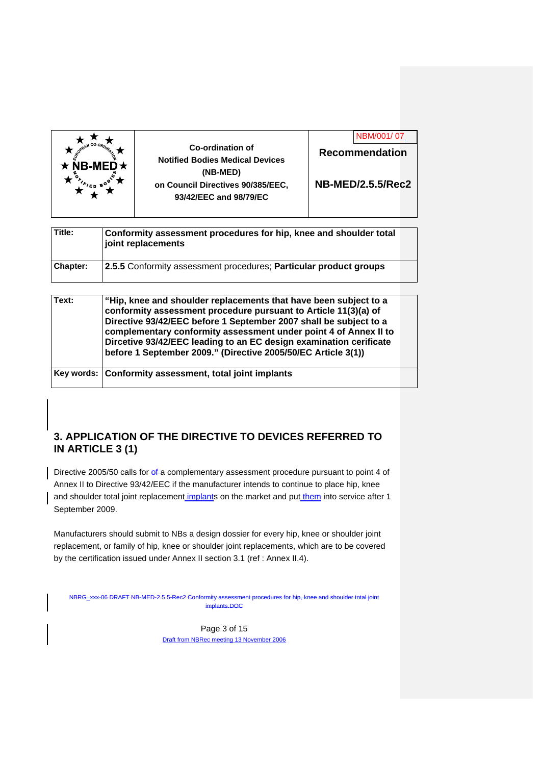| NB-MED $\star$ | Co-ordination of<br><b>Notified Bodies Medical Devices</b><br>(NB-MED) | <b>Recommendation</b>    |
|----------------|------------------------------------------------------------------------|--------------------------|
|                | on Council Directives 90/385/EEC,<br>93/42/EEC and 98/79/EC            | <b>NB-MED/2.5.5/Rec2</b> |

| Title:          | Conformity assessment procedures for hip, knee and shoulder total<br>joint replacements |  |
|-----------------|-----------------------------------------------------------------------------------------|--|
| <b>Chapter:</b> | 2.5.5 Conformity assessment procedures; Particular product groups                       |  |

| Text: | "Hip, knee and shoulder replacements that have been subject to a<br>conformity assessment procedure pursuant to Article 11(3)(a) of<br>Directive 93/42/EEC before 1 September 2007 shall be subject to a<br>complementary conformity assessment under point 4 of Annex II to<br>Dircetive 93/42/EEC leading to an EC design examination cerificate<br>before 1 September 2009." (Directive 2005/50/EC Article 3(1)) |  |
|-------|---------------------------------------------------------------------------------------------------------------------------------------------------------------------------------------------------------------------------------------------------------------------------------------------------------------------------------------------------------------------------------------------------------------------|--|
|       | Key words: Conformity assessment, total joint implants                                                                                                                                                                                                                                                                                                                                                              |  |

## **3. APPLICATION OF THE DIRECTIVE TO DEVICES REFERRED TO IN ARTICLE 3 (1)**

Directive 2005/50 calls for ef-a complementary assessment procedure pursuant to point 4 of Annex II to Directive 93/42/EEC if the manufacturer intends to continue to place hip, knee and shoulder total joint replacement implants on the market and put them into service after 1 September 2009.

Manufacturers should submit to NBs a design dossier for every hip, knee or shoulder joint replacement, or family of hip, knee or shoulder joint replacements, which are to be covered by the certification issued under Annex II section 3.1 (ref : Annex II.4).

NBRG\_xxx-06 DRAFT NB-MED-2.5.5-Rec2 Conformity assessment procedures for hip, knee and shoulder total joint implants.DOC

> Page 3 of 15 Draft from NBRec meeting 13 November 2006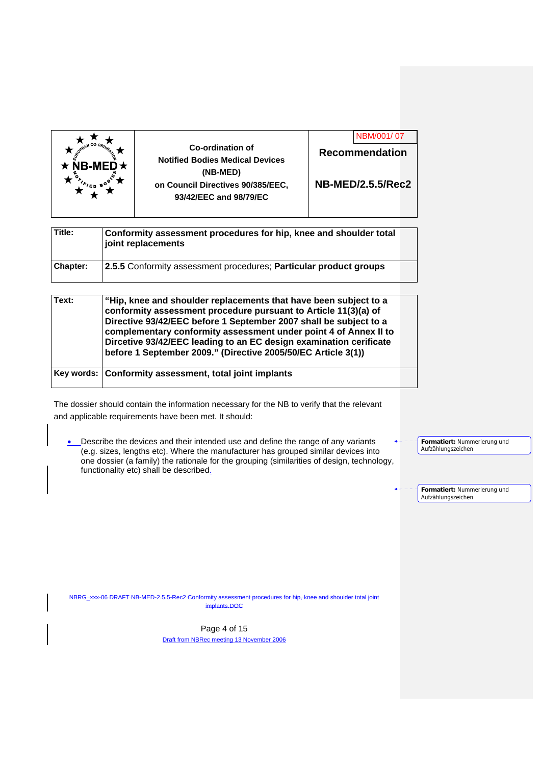| Title:   | Conformity assessment procedures for hip, knee and shoulder total<br>joint replacements |  |
|----------|-----------------------------------------------------------------------------------------|--|
| Chapter: | 2.5.5 Conformity assessment procedures; Particular product groups                       |  |

| Text: | "Hip, knee and shoulder replacements that have been subject to a<br>conformity assessment procedure pursuant to Article 11(3)(a) of<br>Directive 93/42/EEC before 1 September 2007 shall be subject to a<br>complementary conformity assessment under point 4 of Annex II to<br>Dircetive 93/42/EEC leading to an EC design examination cerificate<br>before 1 September 2009." (Directive 2005/50/EC Article 3(1)) |  |
|-------|---------------------------------------------------------------------------------------------------------------------------------------------------------------------------------------------------------------------------------------------------------------------------------------------------------------------------------------------------------------------------------------------------------------------|--|
|       | Key words: Conformity assessment, total joint implants                                                                                                                                                                                                                                                                                                                                                              |  |

The dossier should contain the information necessary for the NB to verify that the relevant and applicable requirements have been met. It should:

**.** Describe the devices and their intended use and define the range of any variants (e.g. sizes, lengths etc). Where the manufacturer has grouped similar devices into one dossier (a family) the rationale for the grouping (similarities of design, technology, functionality etc) shall be described.

**Formatiert:** Nummerierung und Aufzählungszeichen

**Formatiert:** Nummerierung und Aufzählungszeichen

NBRG\_xxx-06 DRAFT NB-MED-2.5.5-Rec2 Conformity assessment procedures for hip, knee and shoulder total joint implants.DOC

> Page 4 of 15 Draft from NBRec meeting 13 November 2006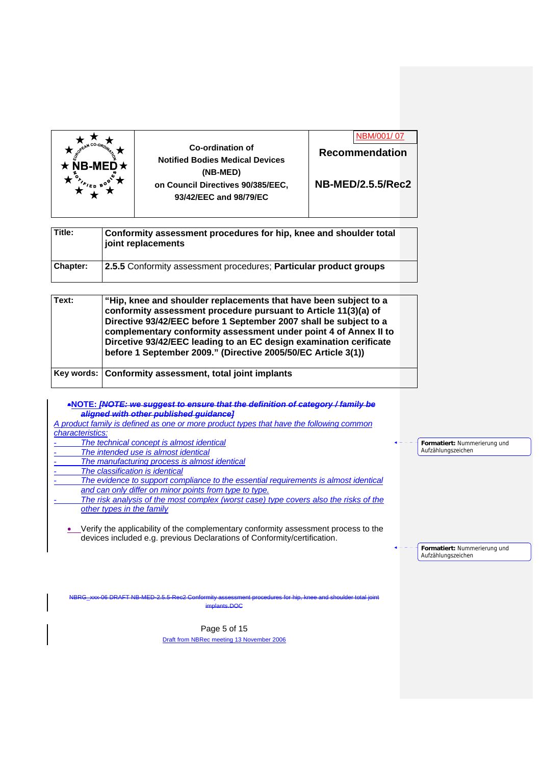

|  | NBM/001/07               |  |
|--|--------------------------|--|
|  | Recommendation           |  |
|  |                          |  |
|  | <b>NB-MED/2.5.5/Rec2</b> |  |

| Title:          | Conformity assessment procedures for hip, knee and shoulder total<br>joint replacements |  |
|-----------------|-----------------------------------------------------------------------------------------|--|
| <b>Chapter:</b> | 2.5.5 Conformity assessment procedures; Particular product groups                       |  |

| Text: | "Hip, knee and shoulder replacements that have been subject to a<br>conformity assessment procedure pursuant to Article 11(3)(a) of<br>Directive 93/42/EEC before 1 September 2007 shall be subject to a<br>complementary conformity assessment under point 4 of Annex II to<br>Dircetive 93/42/EEC leading to an EC design examination cerificate<br>before 1 September 2009." (Directive 2005/50/EC Article 3(1)) |  |
|-------|---------------------------------------------------------------------------------------------------------------------------------------------------------------------------------------------------------------------------------------------------------------------------------------------------------------------------------------------------------------------------------------------------------------------|--|
|       | Key words: Conformity assessment, total joint implants                                                                                                                                                                                                                                                                                                                                                              |  |

**NOTE:** *[NOTE: we suggest to ensure that the definition of category / family be aligned with other published guidance]*

*A product family is defined as one or more product types that have the following common characteristics:*  - *The technical concept is almost identical* 

- *The intended use is almost identical*
- *The manufacturing process is almost identical*
- *The classification is identical*
- The evidence to support compliance to the essential requirements is almost identical *and can only differ on minor points from type to type.*
- The risk analysis of the most complex (worst case) type covers also the risks of the *other types in the family*

• Verify the applicability of the complementary conformity assessment process to the devices included e.g. previous Declarations of Conformity/certification.

**Formatiert:** Nummerierung und Aufzählungszeichen

**Formatiert:** Nummerierung und Aufzählungszeichen

NBRG\_xxx-06 DRAFT NB-MED-2.5.5-Rec2 Conformity assessment procedures for hip, knee and shoulder total joint implants.DOC

> Page 5 of 15 Draft from NBRec meeting 13 November 2006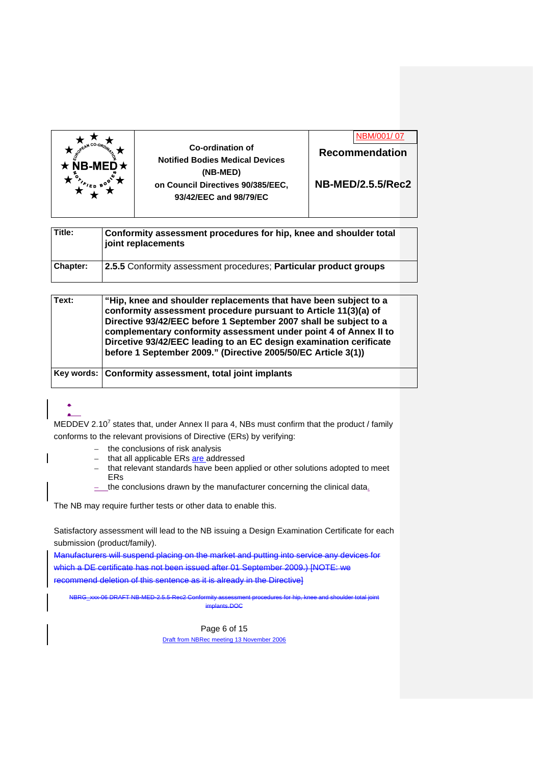

**Recommendation NB-MED/2.5.5/Rec2**  NBM/001/ 07

| Title:   | Conformity assessment procedures for hip, knee and shoulder total<br>joint replacements |  |
|----------|-----------------------------------------------------------------------------------------|--|
| Chapter: | 2.5.5 Conformity assessment procedures; Particular product groups                       |  |

| Text: | "Hip, knee and shoulder replacements that have been subject to a<br>conformity assessment procedure pursuant to Article 11(3)(a) of<br>Directive 93/42/EEC before 1 September 2007 shall be subject to a<br>complementary conformity assessment under point 4 of Annex II to<br>Dircetive 93/42/EEC leading to an EC design examination cerificate<br>before 1 September 2009." (Directive 2005/50/EC Article 3(1)) |  |
|-------|---------------------------------------------------------------------------------------------------------------------------------------------------------------------------------------------------------------------------------------------------------------------------------------------------------------------------------------------------------------------------------------------------------------------|--|
|       | Key words: Conformity assessment, total joint implants                                                                                                                                                                                                                                                                                                                                                              |  |

#### .  $\bullet$

MEDDEV 2.10<sup>7</sup> states that, under Annex II para 4, NBs must confirm that the product / family conforms to the relevant provisions of Directive (ERs) by verifying:

- the conclusions of risk analysis
- that all applicable ERs are addressed
- that relevant standards have been applied or other solutions adopted to meet ERs
- $\frac{1}{x}$  the conclusions drawn by the manufacturer concerning the clinical data.

The NB may require further tests or other data to enable this.

Satisfactory assessment will lead to the NB issuing a Design Examination Certificate for each submission (product/family).

Manufacturers will suspend placing on the market and putting into service any devices for which a DE certificate has not been issued after 01 September 2009.) [NOTE: we recommend deletion of this sentence as it is already in the Directive]

NBRG\_xxx-06 DRAFT NB-MED-2.5.5-Rec2 Conformity assessment procedures for hip, knee and shoulder total joint implants.DOC

> Page 6 of 15 Draft from NBRec meeting 13 November 2006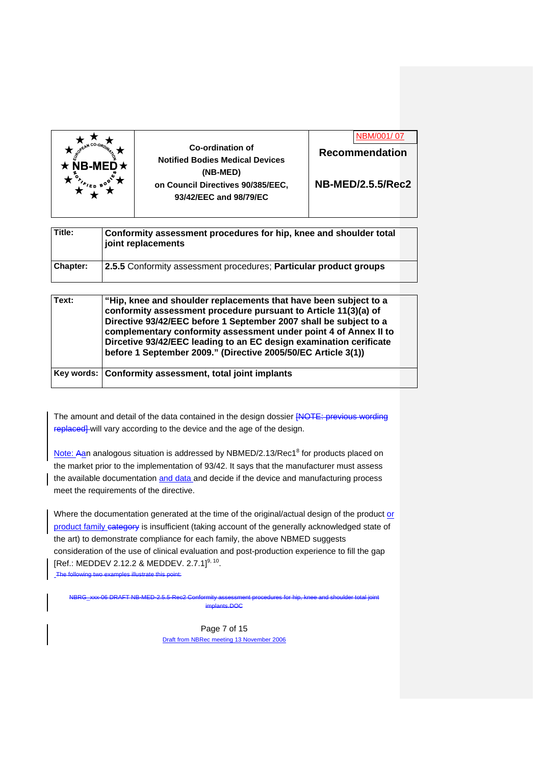

**Recommendation NB-MED/2.5.5/Rec2**  NBM/001/ 07

| Title:          | Conformity assessment procedures for hip, knee and shoulder total<br>joint replacements |  |
|-----------------|-----------------------------------------------------------------------------------------|--|
| <b>Chapter:</b> | 2.5.5 Conformity assessment procedures; Particular product groups                       |  |

| Text: | "Hip, knee and shoulder replacements that have been subject to a<br>conformity assessment procedure pursuant to Article 11(3)(a) of<br>Directive 93/42/EEC before 1 September 2007 shall be subject to a<br>complementary conformity assessment under point 4 of Annex II to<br>Dircetive 93/42/EEC leading to an EC design examination cerificate<br>before 1 September 2009." (Directive 2005/50/EC Article 3(1)) |  |
|-------|---------------------------------------------------------------------------------------------------------------------------------------------------------------------------------------------------------------------------------------------------------------------------------------------------------------------------------------------------------------------------------------------------------------------|--|
|       | Key words: Conformity assessment, total joint implants                                                                                                                                                                                                                                                                                                                                                              |  |

The amount and detail of the data contained in the design dossier [NOTE: previous wording replaced] will vary according to the device and the age of the design.

Note: Aan analogous situation is addressed by NBMED/2.13/Rec1<sup>8</sup> for products placed on the market prior to the implementation of 93/42. It says that the manufacturer must assess the available documentation and data and decide if the device and manufacturing process meet the requirements of the directive.

Where the documentation generated at the time of the original/actual design of the product or product family category is insufficient (taking account of the generally acknowledged state of the art) to demonstrate compliance for each family, the above NBMED suggests consideration of the use of clinical evaluation and post-production experience to fill the gap  $[Ref.: MEDDEV 2.12.2 & MEDDEV. 2.7.1]^{9, 10}.$ The following two examples illustrate this point:

NBRG\_xxx-06 DRAFT NB-MED-2.5.5-Rec2 Conformity assessment procedures for hip, knee and shoulder total joint implants.DOC

> Page 7 of 15 Draft from NBRec meeting 13 November 2006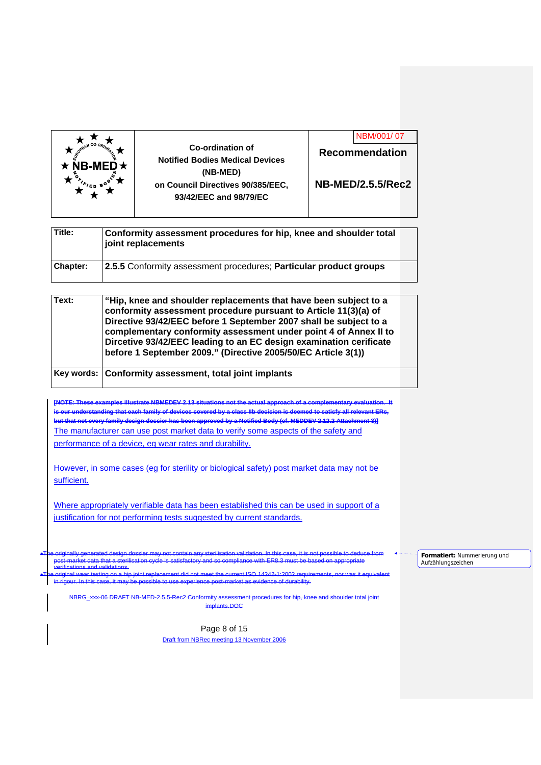

**Title: Conformity assessment procedures for hip, knee and shoulder total joint replacements Chapter: 2.5.5** Conformity assessment procedures; **Particular product groups**

| Text: | "Hip, knee and shoulder replacements that have been subject to a<br>conformity assessment procedure pursuant to Article 11(3)(a) of<br>Directive 93/42/EEC before 1 September 2007 shall be subject to a<br>complementary conformity assessment under point 4 of Annex II to<br>Dircetive 93/42/EEC leading to an EC design examination cerificate<br>before 1 September 2009." (Directive 2005/50/EC Article 3(1)) |  |
|-------|---------------------------------------------------------------------------------------------------------------------------------------------------------------------------------------------------------------------------------------------------------------------------------------------------------------------------------------------------------------------------------------------------------------------|--|
|       | Key words: Conformity assessment, total joint implants                                                                                                                                                                                                                                                                                                                                                              |  |

**[NOTE: These examples illustrate NBMEDEV 2.13 situations not the actual approach of a complementary evaluation. It is our understanding that each family of devices covered by a class IIb decision is deemed to satisfy all relevant ERs, but that not every family design dossier has been approved by a Notified Body (cf. MEDDEV 2.12.2 Attachment 3)]**  The manufacturer can use post market data to verify some aspects of the safety and performance of a device, eg wear rates and durability.

However, in some cases (eg for sterility or biological safety) post market data may not be sufficient.

Where appropriately verifiable data has been established this can be used in support of a justification for not performing tests suggested by current standards.

The originally generated design dossier may not contain any sterilisation validation. In this case, it is not possible to deduce from post-market data that a sterilisation cycle is satisfactory and so compliance with ER8.3 must be based on appropriate verifications and validations.

The original wear testing on a hip joint replacement did not meet the current ISO 14242-1:2002 requirements, nor was it equivalent .<br>In this case, it may be possible to

NBRG\_xxx-06 DRAFT NB-MED-2.5.5-Rec2 Conformity assessment procedures for hip, knee and shoulder total joint implants.DOC

> Page 8 of 15 Draft from NBRec meeting 13 November 2006

**Formatiert:** Nummerierung und Aufzählungszeichen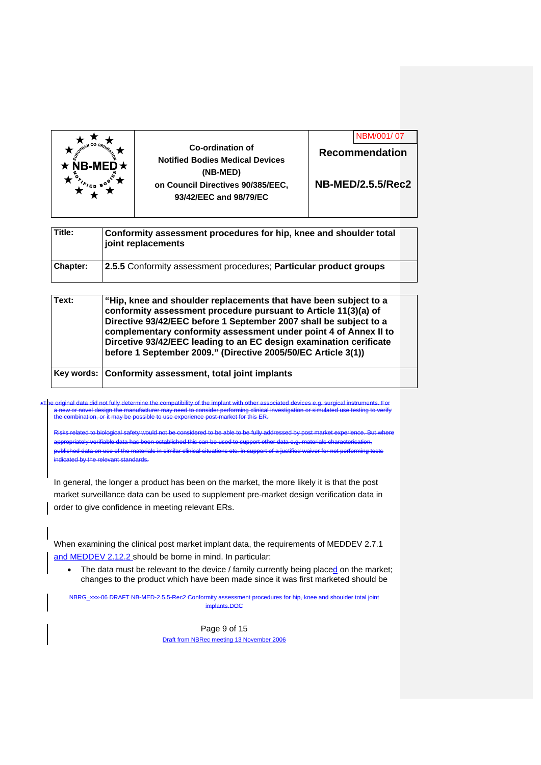

**Recommendation NB-MED/2.5.5/Rec2**  NBM/001/ 07

**Title: Conformity assessment procedures for hip, knee and shoulder total joint replacements Chapter: 2.5.5** Conformity assessment procedures; **Particular product groups**

| Text: | "Hip, knee and shoulder replacements that have been subject to a<br>conformity assessment procedure pursuant to Article 11(3)(a) of<br>Directive 93/42/EEC before 1 September 2007 shall be subject to a<br>complementary conformity assessment under point 4 of Annex II to<br>Dircetive 93/42/EEC leading to an EC design examination cerificate<br>before 1 September 2009." (Directive 2005/50/EC Article 3(1)) |  |
|-------|---------------------------------------------------------------------------------------------------------------------------------------------------------------------------------------------------------------------------------------------------------------------------------------------------------------------------------------------------------------------------------------------------------------------|--|
|       | Key words: Conformity assessment, total joint implants                                                                                                                                                                                                                                                                                                                                                              |  |

The original data did not fully determine the compatibility of the implant with other associated devices e.g. surgical instruments. For a new or novel design the manufacturer may need to consider performing clinical investigation or simulated use testing to verify the combination, or it may be possible to use experience post-market for this ER.

Risks related to biological safety would not be considered to be able to be fully addressed by post market experience. But where appropriately verifiable data has been established this can be used to support other data e.g. materials characterisation, published data on use of the materials in similar clinical situations etc. in support of a justified waiver for not performing tests indicated by the relevant standards.

In general, the longer a product has been on the market, the more likely it is that the post market surveillance data can be used to supplement pre-market design verification data in order to give confidence in meeting relevant ERs.

When examining the clinical post market implant data, the requirements of MEDDEV 2.7.1 and MEDDEV 2.12.2 should be borne in mind. In particular:

The data must be relevant to the device / family currently being placed on the market; changes to the product which have been made since it was first marketed should be

NBRG\_xxx-06 DRAFT NB-MED-2.5.5-Rec2 Conformity assessment procedures for hip, knee and shoulder total joint  $intc$  DOC

> Page 9 of 15 Draft from NBRec meeting 13 November 2006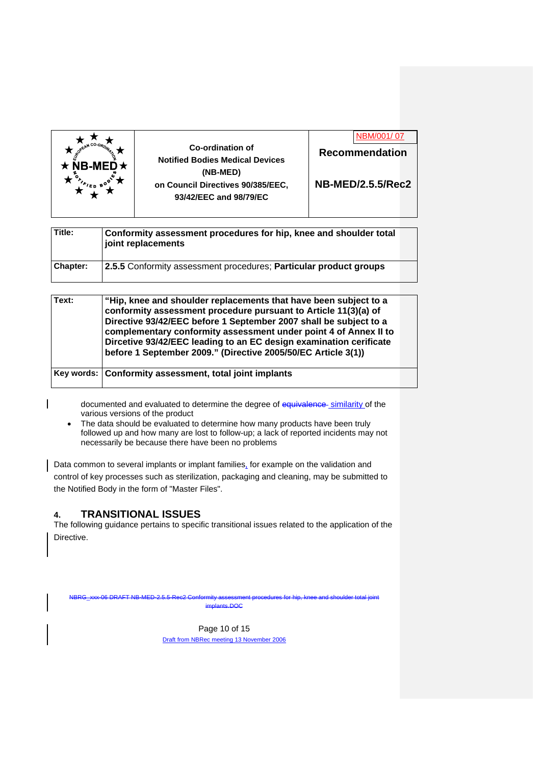

|                       | <u>INDIVI/UU I/ UZ</u> |  |
|-----------------------|------------------------|--|
| <b>Recommendation</b> |                        |  |
|                       |                        |  |
|                       |                        |  |

 $NDM/OOI/O$ 

**NB-MED/2.5.5/Rec2** 

| Title:   | Conformity assessment procedures for hip, knee and shoulder total<br>joint replacements |  |
|----------|-----------------------------------------------------------------------------------------|--|
| Chapter: | 2.5.5 Conformity assessment procedures; Particular product groups                       |  |

| Text: | "Hip, knee and shoulder replacements that have been subject to a<br>conformity assessment procedure pursuant to Article 11(3)(a) of<br>Directive 93/42/EEC before 1 September 2007 shall be subject to a<br>complementary conformity assessment under point 4 of Annex II to<br>Dircetive 93/42/EEC leading to an EC design examination cerificate<br>before 1 September 2009." (Directive 2005/50/EC Article 3(1)) |  |
|-------|---------------------------------------------------------------------------------------------------------------------------------------------------------------------------------------------------------------------------------------------------------------------------------------------------------------------------------------------------------------------------------------------------------------------|--|
|       | Key words: Conformity assessment, total joint implants                                                                                                                                                                                                                                                                                                                                                              |  |

documented and evaluated to determine the degree of equivalence-similarity of the various versions of the product

• The data should be evaluated to determine how many products have been truly followed up and how many are lost to follow-up; a lack of reported incidents may not necessarily be because there have been no problems

Data common to several implants or implant families, for example on the validation and control of key processes such as sterilization, packaging and cleaning, may be submitted to the Notified Body in the form of "Master Files".

# **4. TRANSITIONAL ISSUES**

The following guidance pertains to specific transitional issues related to the application of the Directive.

NBRG\_xxx-06 DRAFT NB-MED-2.5.5-Rec2 Conformity assessment procedures for hip, knee and shoulder total joint

implants.DOC

Page 10 of 15 Draft from NBRec meeting 13 November 2006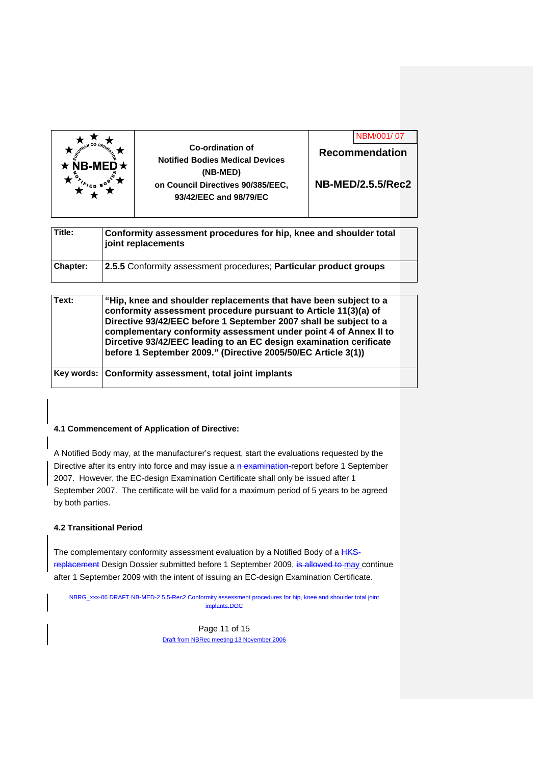

**Recommendation NB-MED/2.5.5/Rec2**  NBM/001/ 07

| Title:          | Conformity assessment procedures for hip, knee and shoulder total<br>i joint replacements |  |
|-----------------|-------------------------------------------------------------------------------------------|--|
| <b>Chapter:</b> | 2.5.5 Conformity assessment procedures; Particular product groups                         |  |

| Text: | "Hip, knee and shoulder replacements that have been subject to a<br>conformity assessment procedure pursuant to Article 11(3)(a) of<br>Directive 93/42/EEC before 1 September 2007 shall be subject to a<br>complementary conformity assessment under point 4 of Annex II to<br>Dircetive 93/42/EEC leading to an EC design examination cerificate<br>before 1 September 2009." (Directive 2005/50/EC Article 3(1)) |  |
|-------|---------------------------------------------------------------------------------------------------------------------------------------------------------------------------------------------------------------------------------------------------------------------------------------------------------------------------------------------------------------------------------------------------------------------|--|
|       | Key words: Conformity assessment, total joint implants                                                                                                                                                                                                                                                                                                                                                              |  |

### **4.1 Commencement of Application of Directive:**

A Notified Body may, at the manufacturer's request, start the evaluations requested by the Directive after its entry into force and may issue a n examination-report before 1 September 2007. However, the EC-design Examination Certificate shall only be issued after 1 September 2007. The certificate will be valid for a maximum period of 5 years to be agreed by both parties.

### **4.2 Transitional Period**

The complementary conformity assessment evaluation by a Notified Body of a HKSreplacement Design Dossier submitted before 1 September 2009, is allowed to may continue after 1 September 2009 with the intent of issuing an EC-design Examination Certificate.

NBRG\_xxx-06 DRAFT NB-MED-2.5.5-Rec2 Conformity assessment procedures for hip, knee and shoulder total joint implants.DOC

> Page 11 of 15 Draft from NBRec meeting 13 November 2006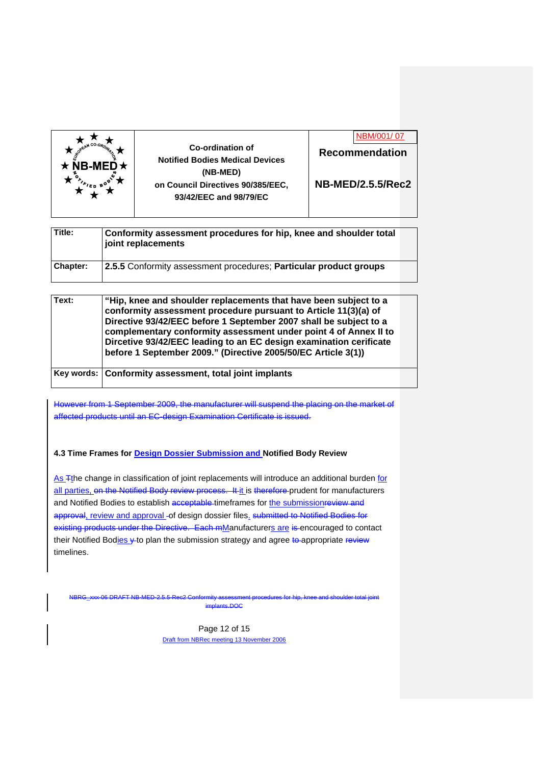



**NB-MED/2.5.5/Rec2** 

| Title:          | Conformity assessment procedures for hip, knee and shoulder total<br>joint replacements |  |
|-----------------|-----------------------------------------------------------------------------------------|--|
| <b>Chapter:</b> | 2.5.5 Conformity assessment procedures; Particular product groups                       |  |

| Text: | "Hip, knee and shoulder replacements that have been subject to a<br>conformity assessment procedure pursuant to Article 11(3)(a) of<br>Directive 93/42/EEC before 1 September 2007 shall be subject to a<br>complementary conformity assessment under point 4 of Annex II to<br>Dircetive 93/42/EEC leading to an EC design examination cerificate<br>before 1 September 2009." (Directive 2005/50/EC Article 3(1)) |  |
|-------|---------------------------------------------------------------------------------------------------------------------------------------------------------------------------------------------------------------------------------------------------------------------------------------------------------------------------------------------------------------------------------------------------------------------|--|
|       | Key words: Conformity assessment, total joint implants                                                                                                                                                                                                                                                                                                                                                              |  |

However from 1 September 2009, the manufacturer will suspend the placing on the market of affected products until an EC-design Examination Certificate is issued.

### **4.3 Time Frames for Design Dossier Submission and Notified Body Review**

As Tthe change in classification of joint replacements will introduce an additional burden for all parties, on the Notified Body review process. It it is therefore prudent for manufacturers and Notified Bodies to establish acceptable timeframes for the submissionreview and approval, review and approval -of design dossier files. submitted to Notified Bodies for existing products under the Directive. Each mManufacturers are is encouraged to contact their Notified Bodies y to plan the submission strategy and agree to appropriate review timelines.

NBRG\_xxx-06 DRAFT NB-MED-2.5.5-Rec2 Conformity assessment procedures for hip, knee and shoulder total joint implants.DOC

> Page 12 of 15 Draft from NBRec meeting 13 November 2006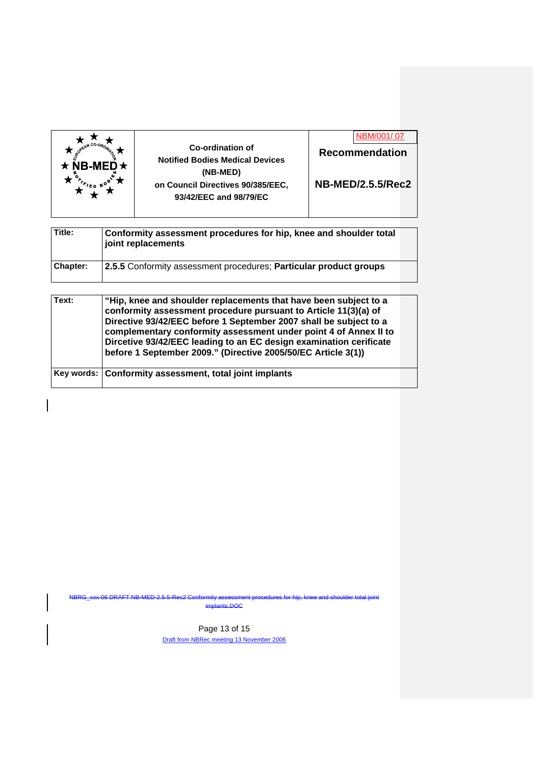| $NB-MED \star$ | Co-ordination of<br><b>Notified Bodies Medical Devices</b><br>(NB-MED)<br>on Council Directives 90/385/EEC,<br>93/42/EEC and 98/79/EC | NBM/001/07<br><b>Recommendation</b><br><b>NB-MED/2.5.5/Rec2</b> |
|----------------|---------------------------------------------------------------------------------------------------------------------------------------|-----------------------------------------------------------------|
|                |                                                                                                                                       |                                                                 |

| Title:   | Conformity assessment procedures for hip, knee and shoulder total<br>joint replacements |  |
|----------|-----------------------------------------------------------------------------------------|--|
| Chapter: | 2.5.5 Conformity assessment procedures; Particular product groups                       |  |

| Text: | "Hip, knee and shoulder replacements that have been subject to a<br>conformity assessment procedure pursuant to Article 11(3)(a) of<br>Directive 93/42/EEC before 1 September 2007 shall be subject to a<br>complementary conformity assessment under point 4 of Annex II to<br>Dircetive 93/42/EEC leading to an EC design examination cerificate<br>before 1 September 2009." (Directive 2005/50/EC Article 3(1)) |  |
|-------|---------------------------------------------------------------------------------------------------------------------------------------------------------------------------------------------------------------------------------------------------------------------------------------------------------------------------------------------------------------------------------------------------------------------|--|
|       | Key words: Conformity assessment, total joint implants                                                                                                                                                                                                                                                                                                                                                              |  |

NBRG\_xxx-06 DRAFT NB-MED-2.5.5-Rec2 Conformity assessment procedures for hip, knee and shoulder total implants.DOC

> Page 13 of 15 Draft from NBRec meeting 13 November 2006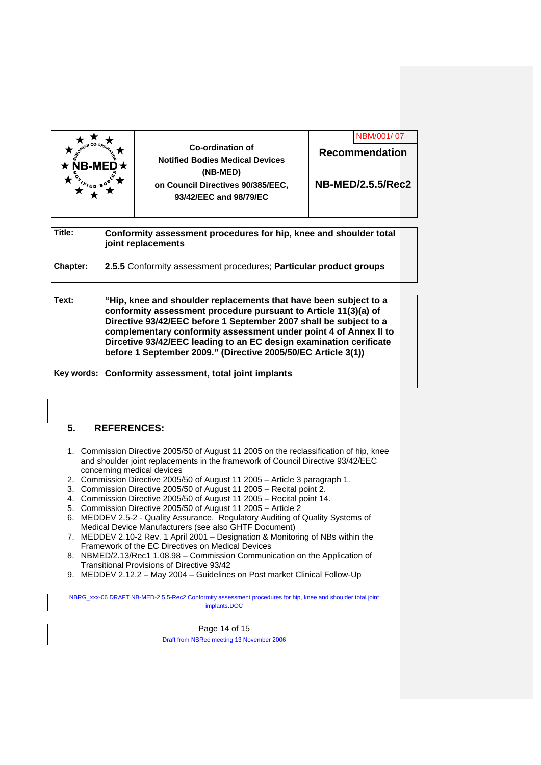

**NB-MED/2.5.5/Rec2** 

| Title:          | Conformity assessment procedures for hip, knee and shoulder total<br>joint replacements |  |
|-----------------|-----------------------------------------------------------------------------------------|--|
| <b>Chapter:</b> | 2.5.5 Conformity assessment procedures; Particular product groups                       |  |

| Text: | "Hip, knee and shoulder replacements that have been subject to a<br>conformity assessment procedure pursuant to Article 11(3)(a) of<br>Directive 93/42/EEC before 1 September 2007 shall be subject to a<br>complementary conformity assessment under point 4 of Annex II to<br>Dircetive 93/42/EEC leading to an EC design examination cerificate<br>before 1 September 2009." (Directive 2005/50/EC Article 3(1)) |  |
|-------|---------------------------------------------------------------------------------------------------------------------------------------------------------------------------------------------------------------------------------------------------------------------------------------------------------------------------------------------------------------------------------------------------------------------|--|
|       | Key words: Conformity assessment, total joint implants                                                                                                                                                                                                                                                                                                                                                              |  |

### **5. REFERENCES:**

- 1. Commission Directive 2005/50 of August 11 2005 on the reclassification of hip, knee and shoulder joint replacements in the framework of Council Directive 93/42/EEC concerning medical devices
- 2. Commission Directive 2005/50 of August 11 2005 Article 3 paragraph 1.
- 3. Commission Directive 2005/50 of August 11 2005 Recital point 2.
- 4. Commission Directive 2005/50 of August 11 2005 Recital point 14.
- 5. Commission Directive 2005/50 of August 11 2005 Article 2
- 6. MEDDEV 2.5-2 Quality Assurance. Regulatory Auditing of Quality Systems of Medical Device Manufacturers (see also GHTF Document)
- 7. MEDDEV 2.10-2 Rev. 1 April 2001 Designation & Monitoring of NBs within the Framework of the EC Directives on Medical Devices
- 8. NBMED/2.13/Rec1 1.08.98 Commission Communication on the Application of Transitional Provisions of Directive 93/42
- 9. MEDDEV 2.12.2 May 2004 Guidelines on Post market Clinical Follow-Up

NBRG\_xxx-06 DRAFT NB-MED-2.5.5-Rec2 Conformity assessment procedures for hip, knee and shoulder total joint inte.DOC

> Page 14 of 15 Draft from NBRec meeting 13 November 2006